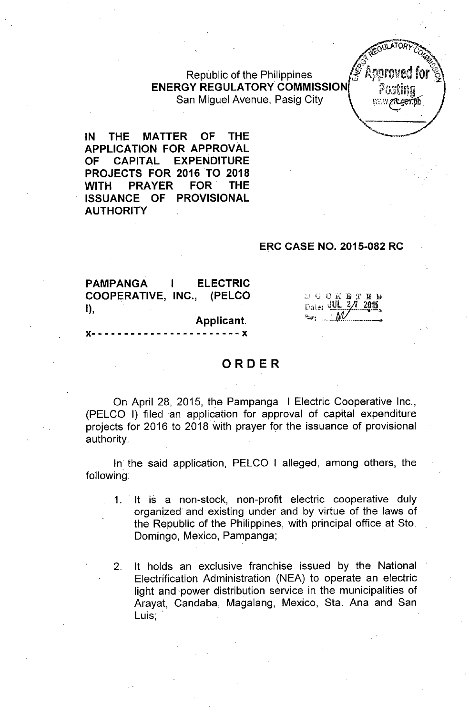Republic of the Philippines ENERGY REGULATORY COMMISSION San Miguel Avenue, Pasig City



IN THE MATTER OF THE APPLICATION FOR APPROVAL OF CAPITAL EXPENDITURE PROJECTS FOR 2016 TO 2018 WITH PRAYER FOR THE ISSUANCE OF PROVISIONAL **AUTHORITY** 

#### ERC CASE NO. 2015-082 RC

PAMPANGA I ELECTRIC COOPERATIVE, INC., (PELCO I),

Applicant.

 $\mathcal{P} \leftarrow \mathcal{P} \leftarrow \mathcal{P} \leftarrow \mathcal{P} \leftarrow \mathcal{P} \leftarrow \mathcal{P}$ Date: 40L 2/1 2015 *~: ~~.W-~\_*

. *-* - - - - - X

#### ORDER

On April 28, 2015, the Pampanga I Electric Cooperative Inc., (PELCO I) filed an application for approval of capital expenditure projects for 2016 to 2018 with prayer for the issuance of provisional authority.

In the said application, PELCO I alleged, among others, the following:

- 1. It is a non-stock, non-profit electric cooperative duly organized and existing under and by virtue of the laws of the Republic of the Philippines, with principal office at Sto. Domingo, Mexico, Pampanga;
- 2. It holds an exclusive franchise issued by the National Electrification Administration (NEA) to operate an electric light and 'power distribution service in the municipalities of Arayat, Candaba, Magalang, Mexico, Sta. Ana and San Luis; .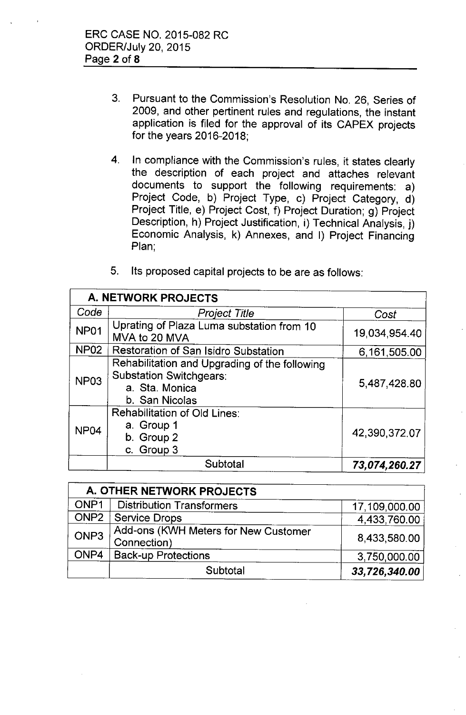- 3. Pursuant to the Commission's Resolution No. 26, Series of 2009, and other pertinent rules and regulations, the instant application is filed for the approval of its CAPEX projects for the years 2016-2018;
- 4. In compliance with the Commission's rules, it states clearly the description of each project and attaches relevant documents to support the following requirements: a) Project Code, b) Project Type, c) Project Category, d) Project Title, e) Project Cost, f) Project Duration; g) Project Description, h) Project Justification, i) Technical Analysis, j) Economic Analysis, k) Annexes, and I) Project Financing Plan;
- 5. Its proposed capital projects to be are as follows:

| <b>A. NETWORK PROJECTS</b> |                                                                                                                     |               |  |  |
|----------------------------|---------------------------------------------------------------------------------------------------------------------|---------------|--|--|
| Code                       | <b>Project Title</b>                                                                                                | Cost          |  |  |
| <b>NP01</b>                | Uprating of Plaza Luma substation from 10<br>MVA to 20 MVA                                                          | 19,034,954.40 |  |  |
| <b>NP02</b>                | Restoration of San Isidro Substation                                                                                | 6,161,505.00  |  |  |
| <b>NP03</b>                | Rehabilitation and Upgrading of the following<br><b>Substation Switchgears:</b><br>a. Sta. Monica<br>b. San Nicolas | 5,487,428.80  |  |  |
| NP <sub>04</sub>           | <b>Rehabilitation of Old Lines:</b><br>a. Group 1<br>b. Group 2<br>c. Group 3                                       | 42,390,372.07 |  |  |
|                            | Subtotal                                                                                                            | 73,074,260.27 |  |  |

| A. OTHER NETWORK PROJECTS |                                                     |               |  |
|---------------------------|-----------------------------------------------------|---------------|--|
| ONP1                      | <b>Distribution Transformers</b>                    | 17,109,000.00 |  |
| ONP <sub>2</sub>          | <b>Service Drops</b>                                | 4,433,760.00  |  |
| ONP3                      | Add-ons (KWH Meters for New Customer<br>Connection) | 8,433,580.00  |  |
| ONP4                      | <b>Back-up Protections</b>                          | 3,750,000.00  |  |
|                           | Subtotal                                            | 33,726,340.00 |  |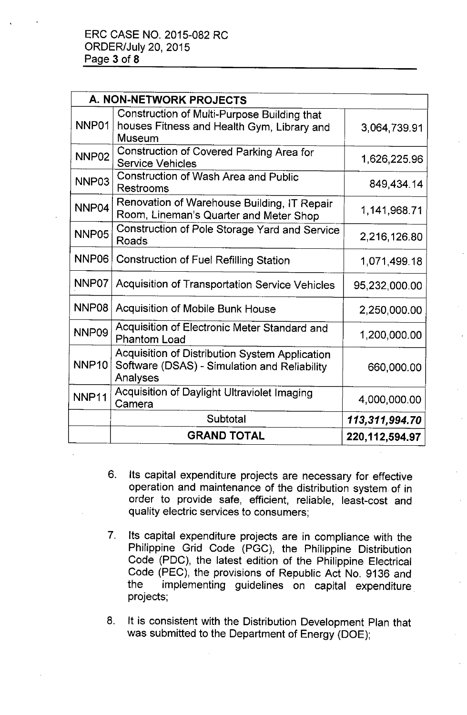| A. NON-NETWORK PROJECTS |                                                                                                            |                   |  |
|-------------------------|------------------------------------------------------------------------------------------------------------|-------------------|--|
| NNP01                   | Construction of Multi-Purpose Building that<br>houses Fitness and Health Gym, Library and<br>Museum        | 3,064,739.91      |  |
| NNP <sub>02</sub>       | Construction of Covered Parking Area for<br><b>Service Vehicles</b>                                        | 1,626,225.96      |  |
| NNP03                   | <b>Construction of Wash Area and Public</b><br>Restrooms                                                   | 849,434.14        |  |
| NNP04                   | Renovation of Warehouse Building, IT Repair<br>Room, Lineman's Quarter and Meter Shop                      | 1,141,968.71      |  |
| NNP <sub>05</sub>       | Construction of Pole Storage Yard and Service<br>Roads                                                     | 2,216,126.80      |  |
| NNP06                   | <b>Construction of Fuel Refilling Station</b>                                                              | 1,071,499.18      |  |
| NNP07                   | Acquisition of Transportation Service Vehicles                                                             | 95,232,000.00     |  |
| NNP08                   | <b>Acquisition of Mobile Bunk House</b>                                                                    | 2,250,000.00      |  |
| NNP09                   | Acquisition of Electronic Meter Standard and<br><b>Phantom Load</b>                                        | 1,200,000.00      |  |
| <b>NNP10</b>            | Acquisition of Distribution System Application<br>Software (DSAS) - Simulation and Reliability<br>Analyses | 660,000.00        |  |
| NNP11                   | Acquisition of Daylight Ultraviolet Imaging<br>Camera                                                      | 4,000,000.00      |  |
|                         | Subtotal                                                                                                   | 113,311,994.70    |  |
|                         | <b>GRAND TOTAL</b>                                                                                         | 220, 112, 594. 97 |  |

- 6. Its capital expenditure projects are necessary for effective operation and maintenance of the distribution system of in order to provide safe, efficient, reliable, least-cost and quality electric services to consumers;
- 7. Its capital expenditure projects are in compliance with the Philippine Grid Code (PGC), the Philippine Distribution Code (PDC), the latest edition of the Philippine Electrical Code (PEC), the provisions of Republic Act No. 9136 and the implementing guidelines on capital expenditure projects;
- 8. It is consistent with the Distribution Development Plan that was submitted to the Department of Energy (DOE);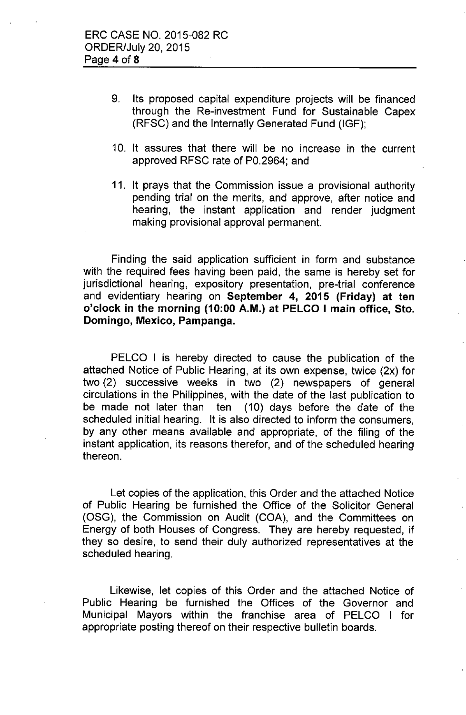- 9. Its proposed capital expenditure projects will be financed through the Re-investment Fund for Sustainable Capex (RFSC) and the Internally Generated Fund (IGF);
- 10. It assures that there will be no increase in the current approved RFSC rate of PO.2964; and
- 11. It prays that the Commission issue a provisional authority pending trial on the merits, and approve, after notice and hearing, the instant application and render judgment making provisional approval permanent.

Finding the said application sufficient in form and substance with the required fees having been paid, the same is hereby set for jurisdictional hearing, expository presentation, pre-trial conference and evidentiary hearing on September 4, 2015 (Friday) at ten o'clock in the morning (10:00 A.M.) at PELCO I main office, Sto. Domingo, Mexico, Pampanga.

PELCO I is hereby directed to cause the publication of the attached Notice of Public Hearing, at its own expense, twice (2x) for two (2) successive weeks in two (2) newspapers of general circulations in the Philippines, with the date of the last publication to be made not later than ten (10) days before the date of the scheduled initial hearing. It is also directed to inform the consumers, by any other means available and appropriate, of the filing of the instant application, its reasons therefor, and of the scheduled hearing thereon.

Let copies of the application, this Order and the attached Notice of Public Hearing be furnished the Office of the Solicitor General (OSG), the Commission on Audit (COA), and the Committees on Energy of both Houses of Congress. They are hereby requested, if they so desire, to send their duly authorized representatives at the scheduled hearing.

Likewise, let copies of this Order and the attached Notice of Public Hearing be furnished the Offices of the Governor and Municipal Mayors within the franchise area of PELCO I for appropriate posting thereof on their respective bulletin boards.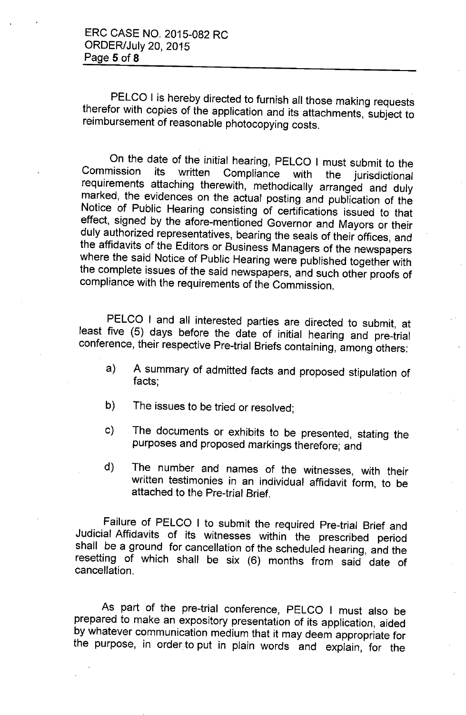PELCO I is hereby directed to furnish all those making requests therefor with copies of the application and its attachments, subject to reimbursement of reasonable photocopying costs.

On the date of the initial hearing, PELCO I must submit to the Commission its written Compliance with the invigibitional Commission its written Compliance with the jurisdictional requirements attaching therewith, methodically arranged and duly marked, the evidences on the actual posting and publication of the Notice of Public Hearing consisting of certifications issued to that *effect,* signed by the afore-mentioned Governor and Mayors or their duly authorized representatives, bearing the seals of their offices, and the affidavits of the Editors or Business Managers of the newspapers where the said Notice of Public Hearing were published together with the complete issues of the said newspapers, and such other proofs of compliance with the requirements of the Commission.

PELCO I and all interested parties are directed to submit, at least five (5) days before the date of initial hearing and pre-trial conference, their respective Pre-trial Briefs containing, among others:

- a) A summary of admitted facts and proposed stipulation of facts;
- b) The issues to be tried or resolved;
- c) The documents or exhibits to be presented, stating the purposes and proposed markings therefore; and
- d) The number and names of the witnesses, with their written testimonies in an individual affidavit form, to be attached to the Pre-trial Brief.

Failure of PELCO I to submit the required Pre-trial Brief and Judicial Affidavits of its witnesses within the prescribed period shall be a ground for cancellation of the scheduled hearing, and the resetting of which shall be six (6) months from said date of cancellation.

As part of the pre-trial conference, PELCO I must also be prepared to make an expository presentation of its application, aided by whatever communication medium that it may deem appropriate for the purpose, in order to put in plain words and explain, for the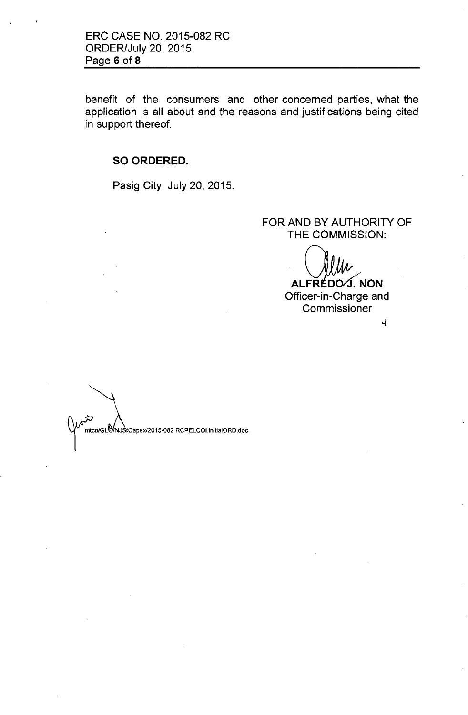ERC CASE NO. 2015-082 RC ORDER/July 20,2015 Page 6 of **8**

benefit of the consumers and other concerned parties, what the application is all about and the reasons and justifications being cited in support thereof.

**SO ORDERED.**

Pasig City, July 20, 2015.

## FOR AND BY AUTHORITY OF **THE** COMMISSION:

ALFREDOG. NON Officer-in-Charge and Commissioner

 $\overline{A}$ 

mtco/GLO/NJStCapex/2015-082 RCPELCOLinitialORD.doc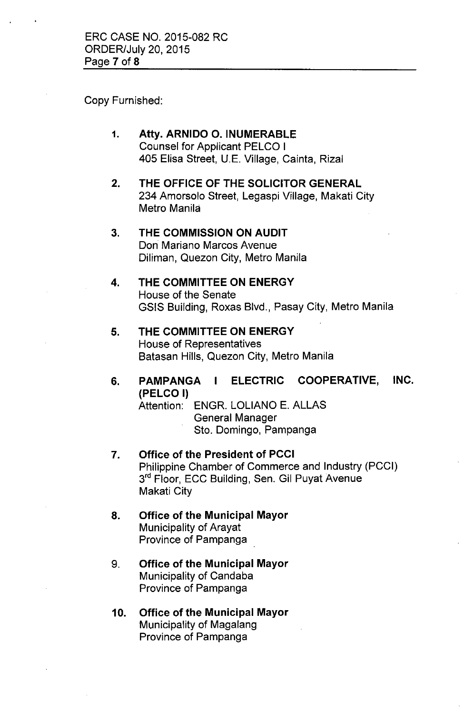Copy Furnished:

1. Atty. ARNIDO O. INUMERABLE Counsel for Applicant PELCO I 405 Elisa Street, U.E. Village, Cainta, Rizal

2. THE OFFICE OF THE SOLICITOR GENERAL 234 Amorsolo Street, Legaspi Village, Makati City Metro Manila

# 3. THE COMMISSION ON AUDIT Don Mariano Marcos Avenue Diliman, Quezon City, Metro Manila

# 4. THE COMMITTEE ON ENERGY House of the Senate GSIS Building, Roxas Blvd., Pasay City, Metro Manila

#### 5. THE COMMITTEE ON ENERGY House of Representatives Batasan Hills, Quezon City, Metro Manila

# 6. PAMPANGA I ELECTRIC COOPERATIVE, INC. (PELCO I)

Attention: ENGR. LOLIANO E. ALLAS General Manager

Sto. Domingo, Pampanga

- 7. Office of the President of PCCI Philippine Chamber of Commerce and Industry (PCCI) 3<sup>rd</sup> Floor, ECC Building, Sen. Gil Puyat Avenue Makati City
- 8. Office of the Municipal Mayor Municipality of Arayat Province of Pampanga
- 9. Office of the Municipal Mayor Municipality of Candaba Province of Pampanga
- 10. Office of the Municipal Mayor Municipality of Magalang Province of Pampanga